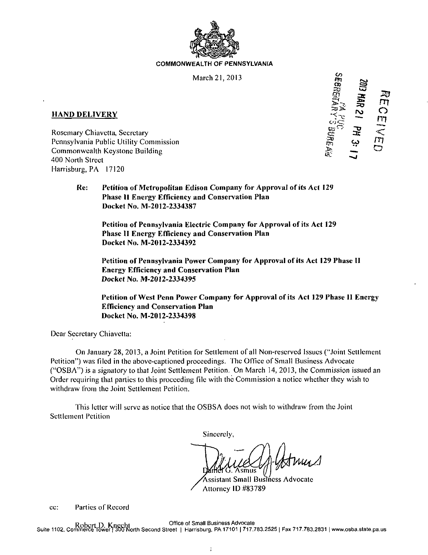

## **COMMONWEALTH OF PENNSYLVANIA**

March 21, 2013

## **HANI) DELIVERY**

Rosemary Chiavetta, Secretary Commonwealth Keystone Building 400 North Street ^ ^ Harrisburg, PA 17120

**I £ a\***   $m \geq 2$ **HAND DELIVERY**<br>
Rosemary Chiavetta, Secretary<br>
Pennsylvania Public Utility Commission<br>
Pennsylvania Public Utility Commission<br>
Pennsylvania Public Utility Commission

**Re: Petition of Metropolitan Edison Company for Approval of its Act 129 Phase II Energy Efficiency and Conservation Plan Docket No. M-2012-2334387** 

**Petition of Pennsylvania Electric Company for Approval of its Act 129 Phase II Energy Efficiency and Conservation Plan Docket No. M-2012-2334392** 

**Petition of Pennsylvania Power Company for Approval of its Act 129 Phase II Energy Efficiency and Conservation Plan Docket No. M-2012-2334395** 

**Petition of West Pcnn Power Company for Approval of its Act 129 Phase II Energy Efficiency and Conservation Plan Docket No. M-2012-2334398** 

Dear Secretary Chiavetta:

On January 28, 2013, a Joint Petition for Settlement of all Non-reserved Issues ("Joint Settlement Petition") was filed in the above-captioned proceedings. The Office of Small Business Advocate ("OSBA") is a signatory to that Joint Settlement Petition. On March 14, 2013, the Commission issued an Order requiring that parlies to this proceeding file with the Commission a notice whether they wish to withdraw from the Joint Settlement Petition.

This letter will serve as notice that the OSBSA docs not wish to withdraw from the Joint Settlement Petition

Sincerely,

smus

^Assistant Small Business Advocate Attorney ID #83789

cc: Parties of Record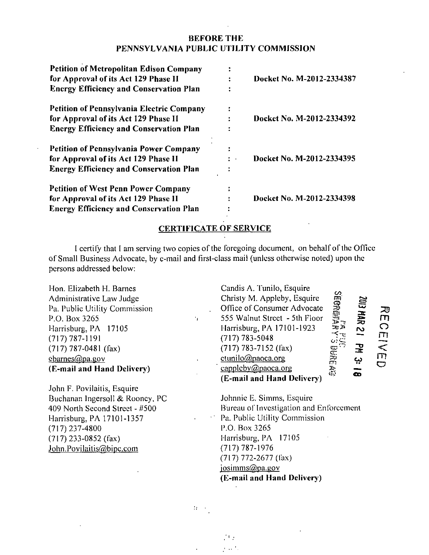## **BEFORE THE PENNSYLVANIA PUBLIC UTILITY COMMISSION**

| <b>Petition of Metropolitan Edison Company</b><br>for Approval of its Act 129 Phase II<br><b>Energy Efficiency and Conservation Plan</b> |   | Docket No. M-2012-2334387 |
|------------------------------------------------------------------------------------------------------------------------------------------|---|---------------------------|
| <b>Petition of Pennsylvania Electric Company</b>                                                                                         | ÷ |                           |
| for Approval of its Act 129 Phase II                                                                                                     |   | Docket No. M-2012-2334392 |
| <b>Energy Efficiency and Conservation Plan</b>                                                                                           |   |                           |
| Petition of Pennsylvania Power Company                                                                                                   | ÷ |                           |
| for Approval of its Act 129 Phase II                                                                                                     | ÷ | Docket No. M-2012-2334395 |
| <b>Energy Efficiency and Conservation Plan</b>                                                                                           |   |                           |
| <b>Petition of West Penn Power Company</b>                                                                                               | ٠ |                           |
| for Approval of its Act 129 Phase II                                                                                                     |   | Docket No. M-2012-2334398 |
| <b>Energy Efficiency and Conservation Plan</b>                                                                                           |   |                           |

## **CERTIFICATE OF SERVICE**

I certify that I am serving two copies of the foregoing document, on behalf of the Office of Small Business Advocate, by e-mail and first-class mail (unless otherwise noted) upon the persons addressed below:

٠,

Hon. Elizabeth H. Barnes Administrative Law Judge Pa. Public Utility Commission P.O. Box 3265 Harrisburg, PA 17105 (717)787-1191 (717) 787-0481 (fax) cbarnes@pa.gov **(E-mail and Hand Deliver})** 

John F. Povilaitis, Esquire Buchanan Ingersoll & Rooncy, PC 409 North Second Street - #500 Harrisburg, PA 17101-1357 (717) 237-4800 (717)233-0852 (fax) John.Povilaitis@bipc.com

**Candis A. Tunilo, Esquire Christy M. Appleby, Esquire Office of Consumer Advocate m**  喜<br>三 **555 Walnut Street - 5th Floor o Harrisburg, PA 17101-1923 ro rn (717) 783-5048**  拉 **(717) 783-7152 (fax) CP " ' CC! < m ctunilo(fi).paoca.onz**  <u>ب</u> **o** cappleby@paoca.org **CD (E-mail and Hand Delivery)** 

Johnnie E. Simms, Esquire Bureau of Investigation and Enforcement Pa. Public Utility Commission P.O. Box 3265 Harrisburg, PA 17105 (717)787-1976 (717) 772-2677 (lax) josimms@pa.gov **(E-mail and Hand Deliver})** 

 $\mathcal{L}$ 

Λģ  $\mathbf{r} \sim \mathbf{r}^{-1}$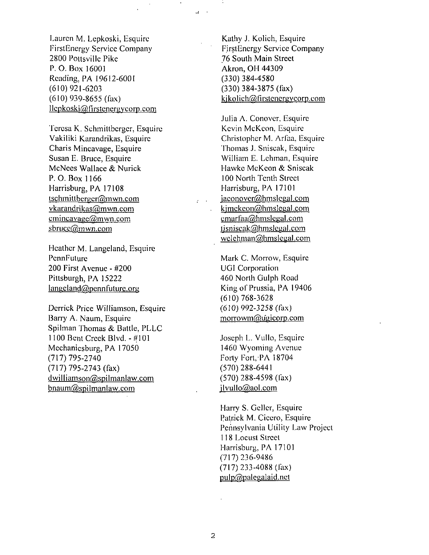Lauren M. Lepkoski, Esquire FirstEnergy Service Company 2800 Pousville Pike P. O. Box 16001 Reading, PA 19612-6001 (610) 921-6203 (610) 939-8655 (fax)  $llepkoski@first energycorp.com$ 

Teresa K. Schmittberger, Esquire Vakiliki Karandrikas, Esquire Charis Mincavage, Esquire Susan E. Bruce, Esquire McNees Wallace & Nurick P. O. Box 1166 Harrisburg, PA 17108 tschmittberger@mwn.com vkarandrikas@mwn.com  $cmincavage@mwn.com$ sbrucc@mwn.com

Heather M. Langeland, Esquire PennFuture 200 First Avenue - #200 Pittsburgh, PA 15222  $langeland@pennfuture.org$ 

Derrick Price Williamson, Esquire Barry A. Naum, Esquire Spilman Thomas & Battle, PLLC 1100 Bent Creek Blvd.-#101 Mechanicsburg, PA 17050 (717) 795-2740 (717) 795-2743 (fax) dwilliamson@spilmanlaw.com  $b$ naum $@$ spilmanlaw.com

Kathy J. Kolich, Esquire FirstEnergy Service Company 76 South Main Street Akron, OH 44309 (330) 384-4580 (330) 384-3875 (fax) kjkolich@firstenergycorp.com

 $\mathcal{A}=\mathcal{A}$ 

 $\mathcal{L}^{\text{max}}$ 

Julia A. Conovcr, Esquire Kevin McKcon, Esquire Christopher M. Arfaa, Esquire Thomas J. Sniseak, Esquire William E. Lehman, Esquire Hawkc McKcon & Sniseak 100 North Tenth Street Harrisburg, PA 17101 iaconover@hmslegal.com kimckeon@hmslegal.com cmarfaa@hmslegal.com  $1$ jsniscak $@$ hmslegal.com welehman@hmslegal.com

Mark C. Morrow, Esquire UGI Corporation 460 North Gulph Road King of Prussia, PA 19406 (610) 768-3628 (610) 992-3258 (fax) morrowm@ugicorp.com

Joseph L. Vullo, Esquire 1460 Wyoming Avenue Forty Fort, PA 18704 (570) 288-6441 (570) 288-4598 (fax) jlvullo@aol.com

Harry S. Gcllcr, Esquire Patrick M. Cicero, Esquire Pennsylvania Utility Law Project 118 Locust Street Harrisburg. PA 17101 (717) 236-9486 (717) 233-4088 (fax) pulp@palegalaid.nct